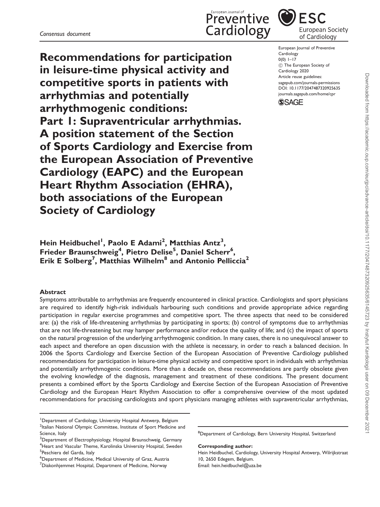Recommendations for participation in leisure-time physical activity and competitive sports in patients with arrhythmias and potentially arrhythmogenic conditions: Part 1: Supraventricular arrhythmias. A position statement of the Section of Sports Cardiology and Exercise from the European Association of Preventive Cardiology (EAPC) and the European Heart Rhythm Association (EHRA), both associations of the European Society of Cardiology

Hein Heidbuchel<sup>1</sup>, Paolo E Adami<sup>2</sup>, Matthias Antz<sup>3</sup>, Frieder Braunschweig<sup>4</sup>, Pietro Delise<sup>5</sup>, Daniel Scherr<sup>6</sup>, Erik E Solberg<sup>7</sup>, Matthias Wilhelm<sup>8</sup> and Antonio Pelliccia<sup>2</sup>

#### Abstract

Symptoms attributable to arrhythmias are frequently encountered in clinical practice. Cardiologists and sport physicians are required to identify high-risk individuals harbouring such conditions and provide appropriate advice regarding participation in regular exercise programmes and competitive sport. The three aspects that need to be considered are: (a) the risk of life-threatening arrhythmias by participating in sports; (b) control of symptoms due to arrhythmias that are not life-threatening but may hamper performance and/or reduce the quality of life; and (c) the impact of sports on the natural progression of the underlying arrhythmogenic condition. In many cases, there is no unequivocal answer to each aspect and therefore an open discussion with the athlete is necessary, in order to reach a balanced decision. In 2006 the Sports Cardiology and Exercise Section of the European Association of Preventive Cardiology published recommendations for participation in leisure-time physical activity and competitive sport in individuals with arrhythmias and potentially arrhythmogenic conditions. More than a decade on, these recommendations are partly obsolete given the evolving knowledge of the diagnosis, management and treatment of these conditions. The present document presents a combined effort by the Sports Cardiology and Exercise Section of the European Association of Preventive Cardiology and the European Heart Rhythm Association to offer a comprehensive overview of the most updated recommendations for practising cardiologists and sport physicians managing athletes with supraventricular arrhythmias,

<sup>1</sup>Department of Cardiology, University Hospital Antwerp, Belgium <sup>2</sup>Italian National Olympic Committee, Institute of Sport Medicine and Science, Italy

6 Department of Medicine, Medical University of Graz, Austria

Corresponding author:

Hein Heidbuchel, Cardiology, University Hospital Antwerp, Wilrijkstraat 10, 2650 Edegem, Belgium. Email: [hein.heidbuchel@uza.be](mailto:hein.heidbuchel@uza.be)





European Journal of Preventive Cardiology  $0(0)$  1–17  $\odot$  The European Society of Cardiology 2020 Article reuse guidelines: [sagepub.com/journals-permissions](http://uk.sagepub.com/en-gb/journals-permissions) [DOI: 10.1177/2047487320925635](http://dx.doi.org/10.1177/2047487320925635) <journals.sagepub.com/home/cpr>



<sup>&</sup>lt;sup>3</sup>Department of Electrophysiology, Hospital Braunschweig, Germany 4 Heart and Vascular Theme, Karolinska University Hospital, Sweden <sup>5</sup>Peschiera del Garda, Italy

 ${\rm ^7}$ Diakonhjemmet Hospital, Department of Medicine, Norway

<sup>&</sup>lt;sup>8</sup>Department of Cardiology, Bern University Hospital, Switzerland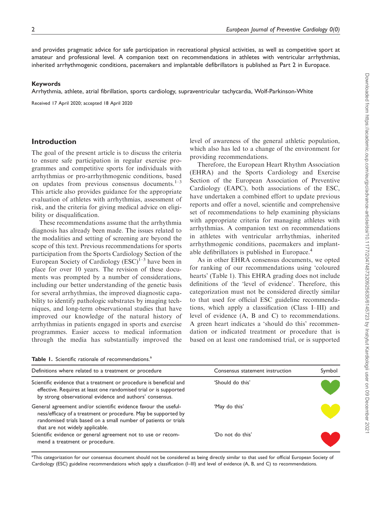and provides pragmatic advice for safe participation in recreational physical activities, as well as competitive sport at amateur and professional level. A companion text on recommendations in athletes with ventricular arrhythmias, inherited arrhythmogenic conditions, pacemakers and implantable defibrillators is published as Part 2 in Europace.

#### Keywords

Arrhythmia, athlete, atrial fibrillation, sports cardiology, supraventricular tachycardia, Wolf-Parkinson-White

Received 17 April 2020; accepted 18 April 2020

### Introduction

The goal of the present article is to discuss the criteria to ensure safe participation in regular exercise programmes and competitive sports for individuals with arrhythmias or pro-arrhythmogenic conditions, based on updates from previous consensus documents. $1-3$ This article also provides guidance for the appropriate evaluation of athletes with arrhythmias, assessment of risk, and the criteria for giving medical advice on eligibility or disqualification.

These recommendations assume that the arrhythmia diagnosis has already been made. The issues related to the modalities and setting of screening are beyond the scope of this text. Previous recommendations for sports participation from the Sports Cardiology Section of the European Society of Cardiology  $(ESC)^{1-3}$  have been in place for over 10 years. The revision of these documents was prompted by a number of considerations, including our better understanding of the genetic basis for several arrhythmias, the improved diagnostic capability to identify pathologic substrates by imaging techniques, and long-term observational studies that have improved our knowledge of the natural history of arrhythmias in patients engaged in sports and exercise programmes. Easier access to medical information through the media has substantially improved the level of awareness of the general athletic population, which also has led to a change of the environment for providing recommendations.

Therefore, the European Heart Rhythm Association (EHRA) and the Sports Cardiology and Exercise Section of the European Association of Preventive Cardiology (EAPC), both associations of the ESC, have undertaken a combined effort to update previous reports and offer a novel, scientific and comprehensive set of recommendations to help examining physicians with appropriate criteria for managing athletes with arrhythmias. A companion text on recommendations in athletes with ventricular arrhythmias, inherited arrhythmogenic conditions, pacemakers and implantable defibrillators is published in Europace.<sup>4</sup>

As in other EHRA consensus documents, we opted for ranking of our recommendations using 'coloured hearts' (Table 1). This EHRA grading does not include definitions of the 'level of evidence'. Therefore, this categorization must not be considered directly similar to that used for official ESC guideline recommendations, which apply a classification (Class I–III) and level of evidence (A, B and C) to recommendations. A green heart indicates a 'should do this' recommendation or indicated treatment or procedure that is based on at least one randomised trial, or is supported

Table 1. Scientific rationale of recommendations.<sup>a</sup>

| Definitions where related to a treatment or procedure                                                                                                                                                                                   | Consensus statement instruction | Symbol |
|-----------------------------------------------------------------------------------------------------------------------------------------------------------------------------------------------------------------------------------------|---------------------------------|--------|
| Scientific evidence that a treatment or procedure is beneficial and<br>effective. Requires at least one randomised trial or is supported<br>by strong observational evidence and authors' consensus.                                    | 'Should do this'                |        |
| General agreement and/or scientific evidence favour the useful-<br>ness/efficacy of a treatment or procedure. May be supported by<br>randomised trials based on a small number of patients or trials<br>that are not widely applicable. | 'May do this'                   |        |
| Scientific evidence or general agreement not to use or recom-<br>mend a treatment or procedure.                                                                                                                                         | 'Do not do this'                |        |

<sup>a</sup>This categorization for our consensus document should not be considered as being directly similar to that used for official European Society of Cardiology (ESC) guideline recommendations which apply a classification (I–III) and level of evidence (A, B, and C) to recommendations.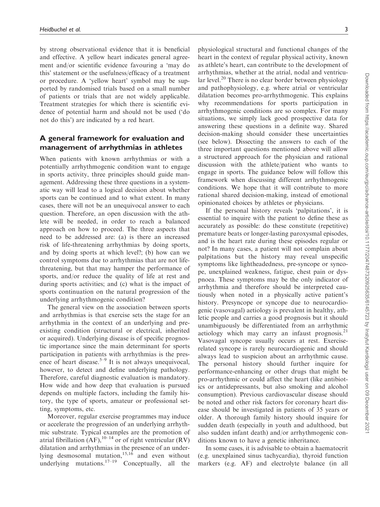by strong observational evidence that it is beneficial and effective. A yellow heart indicates general agreement and/or scientific evidence favouring a 'may do this' statement or the usefulness/efficacy of a treatment or procedure. A 'yellow heart' symbol may be supported by randomised trials based on a small number of patients or trials that are not widely applicable. Treatment strategies for which there is scientific evidence of potential harm and should not be used ('do not do this') are indicated by a red heart.

# A general framework for evaluation and management of arrhythmias in athletes

When patients with known arrhythmias or with a potentially arrhythmogenic condition want to engage in sports activity, three principles should guide management. Addressing these three questions in a systematic way will lead to a logical decision about whether sports can be continued and to what extent. In many cases, there will not be an unequivocal answer to each question. Therefore, an open discussion with the athlete will be needed, in order to reach a balanced approach on how to proceed. The three aspects that need to be addressed are: (a) is there an increased risk of life-threatening arrhythmias by doing sports, and by doing sports at which level?; (b) how can we control symptoms due to arrhythmias that are not lifethreatening, but that may hamper the performance of sports, and/or reduce the quality of life at rest and during sports activities; and (c) what is the impact of sports continuation on the natural progression of the underlying arrhythmogenic condition?

The general view on the association between sports and arrhythmias is that exercise sets the stage for an arrhythmia in the context of an underlying and preexisting condition (structural or electrical, inherited or acquired). Underlying disease is of specific prognostic importance since the main determinant for sports participation in patients with arrhythmias is the presence of heart disease.<sup>5-9</sup> It is not always unequivocal, however, to detect and define underlying pathology. Therefore, careful diagnostic evaluation is mandatory. How wide and how deep that evaluation is pursued depends on multiple factors, including the family history, the type of sports, amateur or professional setting, symptoms, etc.

Moreover, regular exercise programmes may induce or accelerate the progression of an underlying arrhythmic substrate. Typical examples are the promotion of atrial fibrillation  $(AF)$ ,  $10-14$  or of right ventricular  $(RV)$ dilatation and arrhythmias in the presence of an underlying desmosomal mutation, $15,16$  and even without underlying mutations. $17-19$  Conceptually, all the

physiological structural and functional changes of the heart in the context of regular physical activity, known as athlete's heart, can contribute to the development of arrhythmias, whether at the atrial, nodal and ventricular level.<sup>20</sup> There is no clear border between physiology and pathophysiology, e.g. where atrial or ventricular dilatation becomes pro-arrhythmogenic. This explains why recommendations for sports participation in arrhythmogenic conditions are so complex. For many situations, we simply lack good prospective data for answering these questions in a definite way. Shared decision-making should consider these uncertainties (see below). Dissecting the answers to each of the three important questions mentioned above will allow a structured approach for the physician and rational discussion with the athlete/patient who wants to engage in sports. The guidance below will follow this framework when discussing different arrhythmogenic conditions. We hope that it will contribute to more rational shared decision-making, instead of emotional opinionated choices by athletes or physicians.

If the personal history reveals 'palpitations', it is essential to inquire with the patient to define these as accurately as possible: do these constitute (repetitive) premature beats or longer-lasting paroxysmal episodes, and is the heart rate during these episodes regular or not? In many cases, a patient will not complain about palpitations but the history may reveal unspecific symptoms like lightheadedness, pre-syncope or syncope, unexplained weakness, fatigue, chest pain or dyspnoea. These symptoms may be the only indicator of arrhythmia and therefore should be interpreted cautiously when noted in a physically active patient's history. Presyncope or syncope due to neurocardiogenic (vasovagal) aetiology is prevalent in healthy, athletic people and carries a good prognosis but it should unambiguously be differentiated from an arrhythmic aetiology which may carry an infaust prognosis. $21$ Vasovagal syncope usually occurs at rest. Exerciserelated syncope is rarely neurocardiogenic and should always lead to suspicion about an arrhythmic cause. The personal history should further inquire for performance-enhancing or other drugs that might be pro-arrhythmic or could affect the heart (like antibiotics or antidepressants, but also smoking and alcohol consumption). Previous cardiovascular disease should be noted and other risk factors for coronary heart disease should be investigated in patients of 35 years or older. A thorough family history should inquire for sudden death (especially in youth and adulthood, but also sudden infant death) and/or arrhythmogenic conditions known to have a genetic inheritance.

In some cases, it is advisable to obtain a haematocrit (e.g. unexplained sinus tachycardia), thyroid function markers (e.g. AF) and electrolyte balance (in all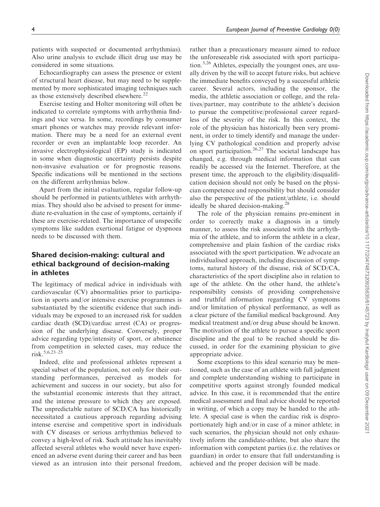patients with suspected or documented arrhythmias). Also urine analysis to exclude illicit drug use may be considered in some situations.

Echocardiography can assess the presence or extent of structural heart disease, but may need to be supplemented by more sophisticated imaging techniques such as those extensively described elsewhere.<sup>22</sup>

Exercise testing and Holter monitoring will often be indicated to correlate symptoms with arrhythmia findings and vice versa. In some, recordings by consumer smart phones or watches may provide relevant information. There may be a need for an external event recorder or even an implantable loop recorder. An invasive electrophysiological (EP) study is indicated in some when diagnostic uncertainty persists despite non-invasive evaluation or for prognostic reasons. Specific indications will be mentioned in the sections on the different arrhythmias below.

Apart from the initial evaluation, regular follow-up should be performed in patients/athletes with arrhythmias. They should also be advised to present for immediate re-evaluation in the case of symptoms, certainly if these are exercise-related. The importance of unspecific symptoms like sudden exertional fatigue or dyspnoea needs to be discussed with them.

# Shared decision-making: cultural and ethical background of decision-making in athletes

The legitimacy of medical advice in individuals with cardiovascular (CV) abnormalities prior to participation in sports and/or intensive exercise programmes is substantiated by the scientific evidence that such individuals may be exposed to an increased risk for sudden cardiac death (SCD)/cardiac arrest (CA) or progression of the underlying disease. Conversely, proper advice regarding type/intensity of sport, or abstinence from competition in selected cases, may reduce the  $risk.5,6,23-25$ 

Indeed, elite and professional athletes represent a special subset of the population, not only for their outstanding performances, perceived as models for achievement and success in our society, but also for the substantial economic interests that they attract, and the intense pressure to which they are exposed. The unpredictable nature of SCD/CA has historically necessitated a cautious approach regarding advising intense exercise and competitive sport in individuals with CV diseases or serious arrhythmias believed to convey a high-level of risk. Such attitude has inevitably affected several athletes who would never have experienced an adverse event during their career and has been viewed as an intrusion into their personal freedom,

rather than a precautionary measure aimed to reduce the unforeseeable risk associated with sport participation.<sup>3,26</sup> Athletes, especially the youngest ones, are usually driven by the will to accept future risks, but achieve the immediate benefits conveyed by a successful athletic career. Several actors, including the sponsor, the media, the athletic association or college, and the relatives/partner, may contribute to the athlete's decision to pursue the competitive/professional career regardless of the severity of the risk. In this context, the role of the physician has historically been very prominent, in order to timely identify and manage the underlying CV pathological condition and properly advise on sport participation.<sup>26,27</sup> The societal landscape has changed, e.g. through medical information that can readily be accessed via the Internet. Therefore, at the present time, the approach to the eligibility/disqualification decision should not only be based on the physician competence and responsibility but should consider also the perspective of the patient/athlete, i.e. should ideally be shared decision-making.<sup>28</sup>

The role of the physician remains pre-eminent in order to correctly make a diagnosis in a timely manner, to assess the risk associated with the arrhythmia of the athlete, and to inform the athlete in a clear, comprehensive and plain fashion of the cardiac risks associated with the sport participation. We advocate an individualised approach, including discussion of symptoms, natural history of the disease, risk of SCD/CA, characteristics of the sport discipline also in relation to age of the athlete. On the other hand, the athlete's responsibility consists of providing comprehensive and truthful information regarding CV symptoms and/or limitation of physical performance, as well as a clear picture of the familial medical background. Any medical treatment and/or drug abuse should be known. The motivation of the athlete to pursue a specific sport discipline and the goal to be reached should be discussed, in order for the examining physician to give appropriate advice.

Some exceptions to this ideal scenario may be mentioned, such as the case of an athlete with full judgment and complete understanding wishing to participate in competitive sports against strongly founded medical advice. In this case, it is recommended that the entire medical assessment and final advice should be reported in writing, of which a copy may be handed to the athlete. A special case is when the cardiac risk is disproportionately high and/or in case of a minor athlete; in such scenarios, the physician should not only exhaustively inform the candidate-athlete, but also share the information with competent parties (i.e. the relatives or guardian) in order to ensure that full understanding is achieved and the proper decision will be made.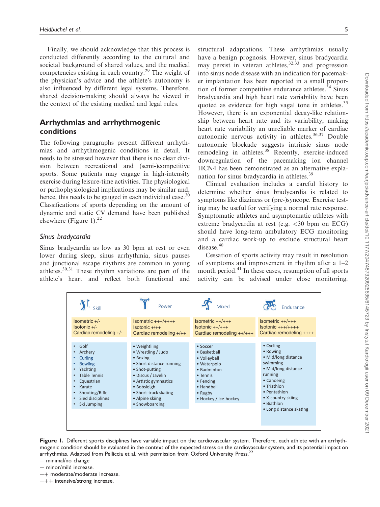Finally, we should acknowledge that this process is conducted differently according to the cultural and societal background of shared values, and the medical competencies existing in each country.<sup>29</sup> The weight of the physician's advice and the athlete's autonomy is also influenced by different legal systems. Therefore, shared decision-making should always be viewed in the context of the existing medical and legal rules.

# Arrhythmias and arrhythmogenic conditions

The following paragraphs present different arrhythmias and arrhythmogenic conditions in detail. It needs to be stressed however that there is no clear division between recreational and (semi-)competitive sports. Some patients may engage in high-intensity exercise during leisure-time activities. The physiological or pathophysiological implications may be similar and, hence, this needs to be gauged in each individual case.<sup>30</sup> Classifications of sports depending on the amount of dynamic and static CV demand have been published elsewhere (Figure 1). $^{22}$ 

### Sinus bradycardia

Sinus bradycardia as low as 30 bpm at rest or even lower during sleep, sinus arrhythmia, sinus pauses and junctional escape rhythms are common in young athletes. $30,31$  These rhythm variations are part of the athlete's heart and reflect both functional and structural adaptations. These arrhythmias usually have a benign prognosis. However, sinus bradycardia may persist in veteran athletes,  $32,33$  and progression into sinus node disease with an indication for pacemaker implantation has been reported in a small proportion of former competitive endurance athletes. $34$  Sinus bradycardia and high heart rate variability have been quoted as evidence for high vagal tone in athletes.<sup>35</sup> However, there is an exponential decay-like relationship between heart rate and its variability, making heart rate variability an unreliable marker of cardiac autonomic nervous activity in athletes. $36,37$  Double autonomic blockade suggests intrinsic sinus node remodeling in athletes. $38$  Recently, exercise-induced downregulation of the pacemaking ion channel HCN4 has been demonstrated as an alternative explanation for sinus bradycardia in athletes.<sup>39</sup>

Clinical evaluation includes a careful history to determine whether sinus bradycardia is related to symptoms like dizziness or (pre-)syncope. Exercise testing may be useful for verifying a normal rate response. Symptomatic athletes and asymptomatic athletes with extreme bradycardia at rest (e.g. <30 bpm on ECG) should have long-term ambulatory ECG monitoring and a cardiac work-up to exclude structural heart disease.<sup>40</sup>

Cessation of sports activity may result in resolution of symptoms and improvement in rhythm after a 1–2 month period.<sup>41</sup> In these cases, resumption of all sports activity can be advised under close monitoring.



Figure 1. Different sports disciplines have variable impact on the cardiovascular system. Therefore, each athlete with an arrhythmogenic condition should be evaluated in the context of the expected stress on the cardiovascular system, and its potential impact on arrhythmias. Adapted from Pelliccia et al. with permission from Oxford University Press.<sup>22</sup>

- $-$  minimal/no change
- $+$  minor/mild increase.
- $++$  moderate/moderate increase.
- $+++$  intensive/strong increase.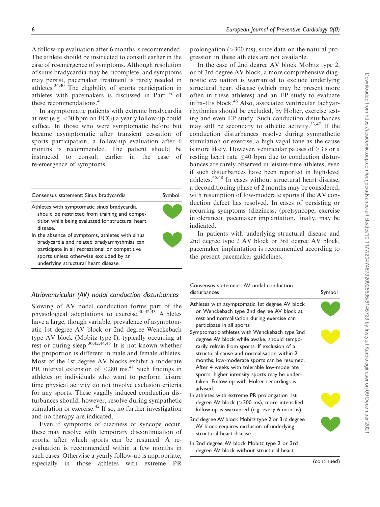A follow-up evaluation after 6 months is recommended. The athlete should be instructed to consult earlier in the case of re-emergence of symptoms. Although resolution of sinus bradycardia may be incomplete, and symptoms may persist, pacemaker treatment is rarely needed in athletes.34,40 The eligibility of sports participation in athletes with pacemakers is discussed in Part 2 of these recommendations.<sup>4</sup>

In asymptomatic patients with extreme bradycardia at rest (e.g. <30 bpm on ECG) a yearly follow-up could suffice. In those who were symptomatic before but became asymptomatic after transient cessation of sports participation, a follow-up evaluation after 6 months is recommended. The patient should be instructed to consult earlier in the case of re-emergence of symptoms.

| Consensus statement: Sinus bradycardia                                                                                                                                                                                              |  |
|-------------------------------------------------------------------------------------------------------------------------------------------------------------------------------------------------------------------------------------|--|
| Athletes with symptomatic sinus bradycardia<br>should be restricted from training and compe-<br>tition while being evaluated for structural heart<br>disease.                                                                       |  |
| In the absence of symptoms, athletes with sinus<br>bradycardia and related bradyarrhythmias can<br>participate in all recreational or competitive<br>sports unless otherwise excluded by an<br>underlying structural heart disease. |  |

# Atrioventricular (AV) nodal conduction disturbances

Slowing of AV nodal conduction forms part of the physiological adaptations to exercise.<sup>30,42,43</sup> Athletes have a large, though variable, prevalence of asymptomatic 1st degree AV block or 2nd degree Wenckebach type AV block (Mobitz type I), typically occurring at rest or during sleep.<sup>30,42,44,45</sup> It is not known whether the proportion is different in male and female athletes. Most of the 1st degree AV blocks exhibit a moderate PR interval extension of  $\leq$ 280 ms.<sup>41</sup> Such findings in athletes or individuals who want to perform leisure time physical activity do not involve exclusion criteria for any sports. These vagally induced conduction disturbances should, however, resolve during sympathetic stimulation or exercise. $42$  If so, no further investigation and no therapy are indicated.

Even if symptoms of dizziness or syncope occur, these may resolve with temporary discontinuation of sports, after which sports can be resumed. A reevaluation is recommended within a few months in such cases. Otherwise a yearly follow-up is appropriate, especially in those athletes with extreme PR prolongation (>300 ms), since data on the natural progression in these athletes are not available.

In the case of 2nd degree AV block Mobitz type 2, or of 3rd degree AV block, a more comprehensive diagnostic evaluation is warranted to exclude underlying structural heart disease (which may be present more often in these athletes) and an EP study to evaluate infra-His block.<sup>46</sup> Also, associated ventricular tachyarrhythmias should be excluded, by Holter, exercise testing and even EP study. Such conduction disturbances may still be secondary to athletic activity.<sup>33,47</sup> If the conduction disturbances resolve during sympathetic stimulation or exercise, a high vagal tone as the cause is more likely. However, ventricular pauses of  $\geq 3$  s or a resting heart rate  $\leq 40$  bpm due to conduction disturbances are rarely observed in leisure-time athletes, even if such disturbances have been reported in high-level athletes.45,48 In cases without structural heart disease, a deconditioning phase of 2 months may be considered, with resumption of low-moderate sports if the AV conduction defect has resolved. In cases of persisting or recurring symptoms (dizziness, (pre)syncope, exercise intolerance), pacemaker implantation, finally, may be indicated.

In patients with underlying structural disease and 2nd degree type 2 AV block or 3rd degree AV block, pacemaker implantation is recommended according to the present pacemaker guidelines.

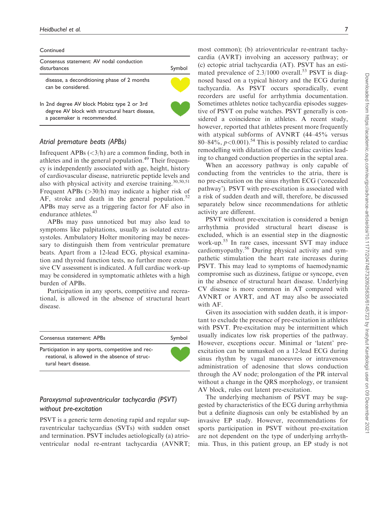#### **Continued**

| Consensus statement: AV nodal conduction<br>disturbances                                                                     |  |
|------------------------------------------------------------------------------------------------------------------------------|--|
| disease, a deconditioning phase of 2 months<br>can be considered.                                                            |  |
| In 2nd degree AV block Mobitz type 2 or 3rd<br>degree AV block with structural heart disease,<br>a pacemaker is recommended. |  |
|                                                                                                                              |  |

#### Atrial premature beats (APBs)

Infrequent APBs  $\left\langle \langle 3/h \rangle \right\rangle$  are a common finding, both in athletes and in the general population.<sup>49</sup> Their frequency is independently associated with age, height, history of cardiovascular disease, natriuretic peptide levels and also with physical activity and exercise training.<sup>30,50,51</sup> Frequent APBs (>30/h) may indicate a higher risk of AF, stroke and death in the general population. $52$ APBs may serve as a triggering factor for AF also in endurance athletes.<sup>43</sup>

APBs may pass unnoticed but may also lead to symptoms like palpitations, usually as isolated extrasystoles. Ambulatory Holter monitoring may be necessary to distinguish them from ventricular premature beats. Apart from a 12-lead ECG, physical examination and thyroid function tests, no further more extensive CV assessment is indicated. A full cardiac work-up may be considered in symptomatic athletes with a high burden of APBs.

Participation in any sports, competitive and recreational, is allowed in the absence of structural heart disease.

| Consensus statement: APBs                                                                                                   | Symbol |
|-----------------------------------------------------------------------------------------------------------------------------|--------|
| Participation in any sports, competitive and rec-<br>reational, is allowed in the absence of struc-<br>tural heart disease. |        |

# Paroxysmal supraventricular tachycardia (PSVT) without pre-excitation

PSVT is a generic term denoting rapid and regular supraventricular tachycardias (SVTs) with sudden onset and termination. PSVT includes aetiologically (a) atrioventricular nodal re-entrant tachycardia (AVNRT; most common); (b) atrioventricular re-entrant tachycardia (AVRT) involving an accessory pathway; or (c) ectopic atrial tachycardia (AT). PSVT has an estimated prevalence of  $2.3/1000$  overall.<sup>53</sup> PSVT is diagnosed based on a typical history and the ECG during tachycardia. As PSVT occurs sporadically, event recorders are useful for arrhythmia documentation. Sometimes athletes notice tachycardia episodes suggestive of PSVT on pulse watches. PSVT generally is considered a coincidence in athletes. A recent study, however, reported that athletes present more frequently with atypical subforms of AVNRT (44–45% versus 80–84%,  $p < 0.001$ ).<sup>54</sup> This is possibly related to cardiac remodelling with dilatation of the cardiac cavities leading to changed conduction properties in the septal area.

When an accessory pathway is only capable of conducting from the ventricles to the atria, there is no pre-excitation on the sinus rhythm ECG ('concealed pathway'). PSVT with pre-excitation is associated with a risk of sudden death and will, therefore, be discussed separately below since recommendations for athletic activity are different.

PSVT without pre-excitation is considered a benign arrhythmia provided structural heart disease is excluded, which is an essential step in the diagnostic work-up.<sup>55</sup> In rare cases, incessant SVT may induce cardiomyopathy.<sup>56</sup> During physical activity and sympathetic stimulation the heart rate increases during PSVT. This may lead to symptoms of haemodynamic compromise such as dizziness, fatigue or syncope, even in the absence of structural heart disease. Underlying CV disease is more common in AT compared with AVNRT or AVRT, and AT may also be associated with AF.

Given its association with sudden death, it is important to exclude the presence of pre-excitation in athletes with PSVT. Pre-excitation may be intermittent which usually indicates low risk properties of the pathway. However, exceptions occur. Minimal or 'latent' preexcitation can be unmasked on a 12-lead ECG during sinus rhythm by vagal manoeuvres or intravenous administration of adenosine that slows conduction through the AV node; prolongation of the PR interval without a change in the QRS morphology, or transient AV block, rules out latent pre-excitation.

The underlying mechanism of PSVT may be suggested by characteristics of the ECG during arrhythmia but a definite diagnosis can only be established by an invasive EP study. However, recommendations for sports participation in PSVT without pre-excitation are not dependent on the type of underlying arrhythmia. Thus, in this patient group, an EP study is not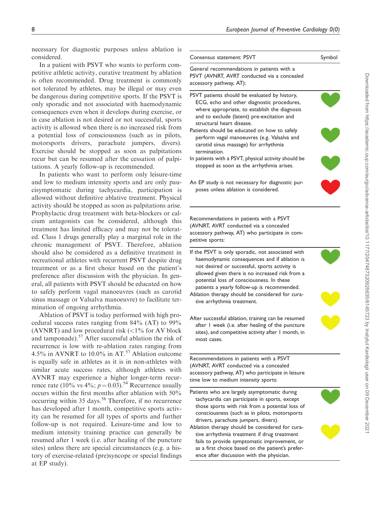necessary for diagnostic purposes unless ablation considered.

In a patient with PSVT who wants to perform competitive athletic activity, curative treatment by ablatic is often recommended. Drug treatment is common not tolerated by athletes, may be illegal or may even be dangerous during competitive sports. If the PSVT only sporadic and not associated with haemodynam consequences even when it develops during exercise, or in case ablation is not desired or not successful, sport activity is allowed when there is no increased risk from a potential loss of consciousness (such as in pilot motorsports drivers, parachute jumpers, divers Exercise should be stopped as soon as palpitation recur but can be resumed after the cessation of palp tations. A yearly follow-up is recommended.

In patients who want to perform only leisure-tim and low to medium intensity sports and are only paucisymptomatic during tachycardia, participation allowed without definitive ablative treatment. Physic activity should be stopped as soon as palpitations aris Prophylactic drug treatment with beta-blockers or ca cium antagonists can be considered, although the treatment has limited efficacy and may not be tolerated. Class 1 drugs generally play a marginal role in the chronic management of PSVT. Therefore, ablation should also be considered as a definitive treatment recreational athletes with recurrent PSVT despite drug treatment or as a first choice based on the patient preference after discussion with the physician. In general, all patients with PSVT should be educated on ho to safely perform vagal manoeuvres (such as carotid sinus massage or Valsalva manoeuvre) to facilitate te mination of ongoing arrhythmia.

Ablation of PSVT is today performed with high procedural success rates ranging from 84% (AT) to 99% (AVNRT) and low procedural risk  $\left($  <1% for AV bloc and tamponade).<sup>57</sup> After successful ablation the risk of recurrence is low with re-ablation rates ranging from 4.5% in AVNRT to 10.0% in AT.<sup>57</sup> Ablation outcom is equally safe in athletes as it is in non-athletes with similar acute success rates, although athletes with AVNRT may experience a higher longer-term recu rence rate (10% vs  $4\%$ ;  $p = 0.03$ ).<sup>54</sup> Recurrence usual occurs within the first months after ablation with 50% occurring within 35 days.<sup>58</sup> Therefore, if no recurrence has developed after 1 month, competitive sports activ ity can be resumed for all types of sports and furtherfollow-up is not required. Leisure-time and low to medium intensity training practice can generally beresumed after 1 week (i.e. after healing of the puncture sites) unless there are special circumstances (e.g. a history of exercise-related (pre)syncope or special finding at EP study).

| Consensus statement: PSVT                                                                                                                                                                                                                          | Symbol |
|----------------------------------------------------------------------------------------------------------------------------------------------------------------------------------------------------------------------------------------------------|--------|
| General recommendations in patients with a<br>PSVT (AVNRT, AVRT conducted via a concealed<br>accessory pathway, AT):                                                                                                                               |        |
| PSVT patients should be evaluated by history,<br>ECG, echo and other diagnostic procedures,<br>where appropriate, to establish the diagnosis<br>and to exclude (latent) pre-excitation and<br>structural heart disease.                            |        |
| Patients should be educated on how to safely<br>perform vagal manoeuvres (e.g. Valsalva and<br>carotid sinus massage) for arrhythmia<br>termination.                                                                                               |        |
| In patients with a PSVT, physical activity should be<br>stopped as soon as the arrhythmia arises.                                                                                                                                                  |        |
| An EP study is not necessary for diagnostic pur-<br>poses unless ablation is considered.                                                                                                                                                           |        |
| Recommendations in patients with a PSVT<br>(AVNRT, AVRT conducted via a concealed<br>accessory pathway, AT) who participate in com-<br>petitive sports:                                                                                            |        |
| If the PSVT is only sporadic, not associated with<br>haemodynamic consequences and if ablation is<br>not desired or successful, sports activity is<br>allowed given there is no increased risk from a<br>potential loss of consciousness. In these |        |
| patients a yearly follow-up is recommended.<br>Ablation therapy should be considered for cura-<br>tive arrhythmia treatment.                                                                                                                       |        |
| After successful ablation, training can be resumed<br>after I week (i.e. after healing of the puncture<br>sites), and competitive activity after I month, in<br>most cases.                                                                        |        |
|                                                                                                                                                                                                                                                    |        |
| Recommendations in patients with a PSVT<br>(AVNRT, AVRT conducted via a concealed<br>accessory pathway, AT) who participate in leisure<br>time low to medium intensity sports:                                                                     |        |
| Patients who are largely asymptomatic during<br>tachycardia can participate in sports, except<br>those sports with risk from a potential loss of<br>consciousness (such as in pilots, motorsports<br>drivers, parachute jumpers, divers).          |        |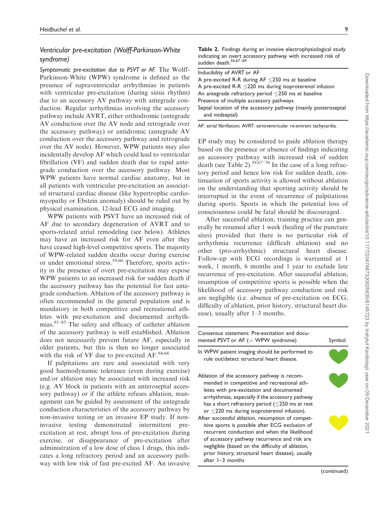# Ventricular pre-excitation (Wolff-Parkinson-White syndrome)

Symptomatic pre-excitation due to PSVT or AF. The Wolff-Parkinson-White (WPW) syndrome is defined as the presence of supraventricular arrhythmias in patients with ventricular pre-excitation (during sinus rhythm) due to an accessory AV pathway with antegrade conduction. Regular arrhythmias involving the accessory pathway include AVRT, either orthodromic (antegrade AV conduction over the AV node and retrograde over the accessory pathway) or antidromic (antegrade AV conduction over the accessory pathway and retrograde over the AV node). However, WPW patients may also incidentally develop AF which could lead to ventricular fibrillation (VF) and sudden death due to rapid antegrade conduction over the accessory pathway. Most WPW patients have normal cardiac anatomy, but in all patients with ventricular pre-excitation an associated structural cardiac disease (like hypertrophic cardiomyopathy or Ebstein anomaly) should be ruled out by physical examination, 12-lead ECG and imaging.

WPW patients with PSVT have an increased risk of AF due to secondary degeneration of AVRT and to sports-related atrial remodeling (see below). Athletes may have an increased risk for AF even after they have ceased high-level competitive sports. The majority of WPW-related sudden deaths occur during exercise or under emotional stress.<sup>59,60</sup> Therefore, sports activity in the presence of overt pre-excitation may expose WPW patients to an increased risk for sudden death if the accessory pathway has the potential for fast antegrade conduction. Ablation of the accessory pathway is often recommended in the general population and is mandatory in both competitive and recreational athletes with pre-excitation and documented arrhythmias.61–65 The safety and efficacy of catheter ablation of the accessory pathway is well established. Ablation does not necessarily prevent future AF, especially in older patients, but this is then no longer associated with the risk of VF due to pre-excited  $AF<sup>.64,66</sup>$ .

If palpitations are rare and associated with very good haemodynamic tolerance (even during exercise) and/or ablation may be associated with increased risk (e.g. AV block in patients with an anteroseptal accessory pathway) or if the athlete refuses ablation, management can be guided by assessment of the antegrade conduction characteristics of the accessory pathway by non-invasive testing or an invasive EP study. If noninvasive testing demonstrated intermittent preexcitation at rest, abrupt loss of pre-excitation during exercise, or disappearance of pre-excitation after administration of a low dose of class 1 drugs, this indicates a long refractory period and an accessory pathway with low risk of fast pre-excited AF. An invasive

Table 2. Findings during an invasive electrophysiological study indicating an overt accessory pathway with increased risk of sudden death.<sup>56,67-69</sup>

| Inducibility of AVRT or AF                                                       |
|----------------------------------------------------------------------------------|
| A pre-excited R-R during $AF < 250$ ms at baseline                               |
| A pre-excited R-R $\leq$ 220 ms during isoproterenol infusion                    |
| An antegrade refractory period $\leq$ 250 ms at baseline                         |
| Presence of multiple accessory pathways                                          |
| Septal location of the accessory pathway (mainly posteroseptal<br>and midseptal) |
|                                                                                  |

AF: atrial fibrillation; AVRT: atrioventricular re-entrant tachycardia.

EP study may be considered to guide ablation therapy based on the presence or absence of findings indicating an accessory pathway with increased risk of sudden death (see Table 2).<sup>59,67–70</sup> In the case of a long refractory period and hence low risk for sudden death, continuation of sports activity is allowed without ablation on the understanding that sporting activity should be interrupted in the event of recurrence of palpitations during sports. Sports in which the potential loss of consciousness could be fatal should be discouraged.

After successful ablation, training practice can generally be resumed after 1 week (healing of the puncture sites) provided that there is no particular risk of arrhythmia recurrence (difficult ablation) and no other (pro-arrhythmic) structural heart disease. Follow-up with ECG recordings is warranted at 1 week, 1 month, 6 months and 1 year to exclude late recurrence of pre-excitation. After successful ablation, resumption of competitive sports is possible when the likelihood of accessory pathway conduction and risk are negligible (i.e. absence of pre-excitation on ECG, difficulty of ablation, prior history, structural heart disease), usually after 1–3 months.

| Consensus statement: Pre-excitation and docu-<br>mented PSVT or $AF (= WPW$ syndrome)                                                                                                                                                                                                                                                                                                                                                                                                                                                                                                                                                       | Symbol |
|---------------------------------------------------------------------------------------------------------------------------------------------------------------------------------------------------------------------------------------------------------------------------------------------------------------------------------------------------------------------------------------------------------------------------------------------------------------------------------------------------------------------------------------------------------------------------------------------------------------------------------------------|--------|
| In WPW patient imaging should be performed to<br>rule out/detect structural heart disease.                                                                                                                                                                                                                                                                                                                                                                                                                                                                                                                                                  |        |
| Ablation of the accessory pathway is recom-<br>mended in competitive and recreational ath-<br>letes with pre-excitation and documented<br>arrhythmias, especially if the accessory pathway<br>has a short refractory period ( $\leq$ 250 ms at rest<br>or $\leq$ 220 ms during isoproterenol infusion).<br>After successful ablation, resumption of compet-<br>itive sports is possible after ECG exclusion of<br>recurrent conduction and when the likelihood<br>of accessory pathway recurrence and risk are<br>negligible (based on the difficulty of ablation,<br>prior history, structural heart disease), usually<br>after 1-3 months |        |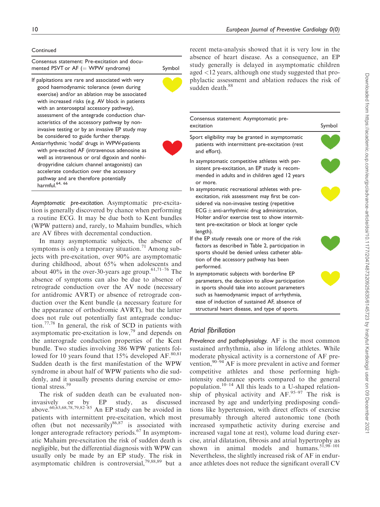### **Continued**

| Consensus statement: Pre-excitation and docu-<br>mented PSVT or AF (= WPW syndrome)                                                                                                                                                                                                                                                                                                                                                                                                                                                                                                                                                                                                                                                                                | Symbol |
|--------------------------------------------------------------------------------------------------------------------------------------------------------------------------------------------------------------------------------------------------------------------------------------------------------------------------------------------------------------------------------------------------------------------------------------------------------------------------------------------------------------------------------------------------------------------------------------------------------------------------------------------------------------------------------------------------------------------------------------------------------------------|--------|
| If palpitations are rare and associated with very<br>good haemodynamic tolerance (even during<br>exercise) and/or an ablation may be associated<br>with increased risks (e.g. AV block in patients<br>with an anteroseptal accessory pathway),<br>assessment of the antegrade conduction char-<br>acteristics of the accessory pathway by non-<br>invasive testing or by an invasive EP study may<br>be considered to guide further therapy.<br>Antiarrhythmic 'nodal' drugs in WPW-patients<br>with pre-excited AF (intravenous adenosine as<br>well as intravenous or oral digoxin and nonhi-<br>dropyridine calcium channel antagonists) can<br>accelerate conduction over the accessory<br>pathway and are therefore potentially<br>harmful. <sup>64, 66</sup> |        |

Asymptomatic pre-excitation. Asymptomatic pre-excitation is generally discovered by chance when performing a routine ECG. It may be due both to Kent bundles (WPW pattern) and, rarely, to Mahaim bundles, which are AV fibres with decremental conduction.

In many asymptomatic subjects, the absence of symptoms is only a temporary situation.<sup>71</sup> Among subjects with pre-excitation, over 90% are asymptomatic during childhood, about 65% when adolescents and about 40% in the over-30-years age group.<sup>61,71–76</sup> The absence of symptoms can also be due to absence of retrograde conduction over the AV node (necessary for antidromic AVRT) or absence of retrograde conduction over the Kent bundle (a necessary feature for the appearance of orthodromic AVRT), but the latter does not rule out potentially fast antegrade conduction.<sup>77,78</sup> In general, the risk of SCD in patients with asymptomatic pre-excitation is low,79 and depends on the anterograde conduction properties of the Kent bundle. Two studies involving 386 WPW patients followed for 10 years found that  $15%$  developed AF.<sup>80,81</sup> Sudden death is the first manifestation of the WPW syndrome in about half of WPW patients who die suddenly, and it usually presents during exercise or emotional stress.<sup>59</sup>

The risk of sudden death can be evaluated noninvasively or by EP study, as discussed above.<sup>60,63,68,78,79,82–85</sup> An EP study can be avoided in patients with intermittent pre-excitation, which most often (but not necessarily) $86,87$  is associated with longer anterograde refractory periods.<sup>67</sup> In asymptomatic Mahaim pre-excitation the risk of sudden death is negligible, but the differential diagnosis with WPW can usually only be made by an EP study. The risk in asymptomatic children is controversial, $79,88,89$  but a

recent meta-analysis showed that it is very low in the absence of heart disease. As a consequence, an EP study generally is delayed in asymptomatic children aged <12 years, although one study suggested that prophylactic assessment and ablation reduces the risk of sudden death.<sup>88</sup>

| Consensus statement: Asymptomatic pre-<br>excitation                                                                                                                                                                                                                                                                     | Symbol |
|--------------------------------------------------------------------------------------------------------------------------------------------------------------------------------------------------------------------------------------------------------------------------------------------------------------------------|--------|
| Sport eligibility may be granted in asymptomatic<br>patients with intermittent pre-excitation (rest<br>and effort).                                                                                                                                                                                                      |        |
| In asymptomatic competitive athletes with per-<br>sistent pre-excitation, an EP study is recom-<br>mended in adults and in children aged 12 years<br>or more.                                                                                                                                                            |        |
| In asymptomatic recreational athletes with pre-<br>excitation, risk assessment may first be con-<br>sidered via non-invasive testing (repetitive<br>$\mathsf{ECG} \pm$ anti-arrhythmic drug administration,<br>Holter and/or exercise test to show intermit-<br>tent pre-excitation or block at longer cycle<br>length). |        |
| If the EP study reveals one or more of the risk<br>factors as described in Table 2, participation in<br>sports should be denied unless catheter abla-<br>tion of the accessory pathway has been<br>performed.                                                                                                            |        |
| In asymptomatic subjects with borderline EP<br>parameters, the decision to allow participation<br>in sports should take into account parameters<br>such as haemodynamic impact of arrhythmia,<br>ease of induction of sustained AF, absence of<br>structural heart disease, and type of sports.                          |        |

# Atrial fibrillation

Prevalence and pathophysiology. AF is the most common sustained arrhythmia, also in lifelong athletes. While moderate physical activity is a cornerstone of AF prevention,  $90-94$  AF is more prevalent in active and former competitive athletes and those performing highintensity endurance sports compared to the general population.<sup>10–14</sup> All this leads to a U-shaped relationship of physical activity and  $AF$ .<sup>95–97</sup> The risk is increased by age and underlying predisposing conditions like hypertension, with direct effects of exercise presumably through altered autonomic tone (both increased sympathetic activity during exercise and increased vagal tone at rest), volume load during exercise, atrial dilatation, fibrosis and atrial hypertrophy as shown in animal models and humans.  $51,98-101$ Nevertheless, the slightly increased risk of AF in endurance athletes does not reduce the significant overall CV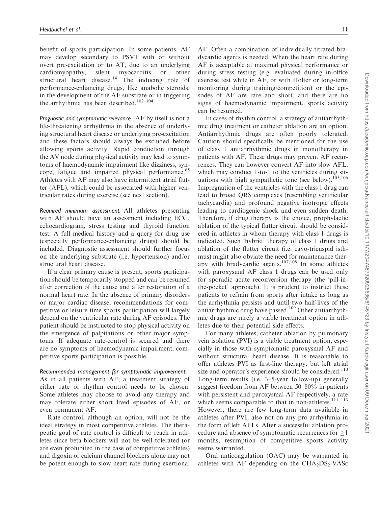benefit of sports participation. In some patients, AF may develop secondary to PSVT with or without overt pre-excitation or to AT, due to an underlying cardiomyopathy, silent myocarditis or other structural heart disease.<sup>14</sup> The inducing role of performance-enhancing drugs, like anabolic steroids, in the development of the AF substrate or in triggering the arrhythmia has been described.<sup>102–104</sup>

Prognostic and symptomatic relevance. AF by itself is not a life-threatening arrhythmia in the absence of underlying structural heart disease or underlying pre-excitation and these factors should always be excluded before allowing sports activity. Rapid conduction through the AV node during physical activity may lead to symptoms of haemodynamic impairment like dizziness, syncope, fatigue and impaired physical performance.<sup>65</sup> Athletes with AF may also have intermittent atrial flutter (AFL), which could be associated with higher ventricular rates during exercise (see next section).

Required minimum assessment. All athletes presenting with AF should have an assessment including ECG, echocardiogram, stress testing and thyroid function test. A full medical history and a query for drug use (especially performance-enhancing drugs) should be included. Diagnostic assessment should further focus on the underlying substrate (i.e. hypertension) and/or structural heart disease.

If a clear primary cause is present, sports participation should be temporarily stopped and can be resumed after correction of the cause and after restoration of a normal heart rate. In the absence of primary disorders or major cardiac disease, recommendations for competitive or leisure time sports participation will largely depend on the ventricular rate during AF episodes. The patient should be instructed to stop physical activity on the emergence of palpitations or other major symptoms. If adequate rate-control is secured and there are no symptoms of haemodynamic impairment, competitive sports participation is possible.

#### Recommended management for symptomatic improvement.

As in all patients with AF, a treatment strategy of either rate or rhythm control needs to be chosen. Some athletes may choose to avoid any therapy and may tolerate either short lived episodes of AF, or even permanent AF.

Rate control, although an option, will not be the ideal strategy in most competitive athletes. The therapeutic goal of rate control is difficult to reach in athletes since beta-blockers will not be well tolerated (or are even prohibited in the case of competitive athletes) and digoxin or calcium channel blockers alone may not be potent enough to slow heart rate during exertional AF. Often a combination of individually titrated bradycardic agents is needed. When the heart rate during AF is acceptable at maximal physical performance or during stress testing (e.g. evaluated during in-office exercise test while in AF, or with Holter or long-term monitoring during training/competition) or the episodes of AF are rare and short, and there are no signs of haemodynamic impairment, sports activity can be resumed.

In cases of rhythm control, a strategy of antiarrhythmic drug treatment or catheter ablation are an option. Antiarrhythmic drugs are often poorly tolerated. Caution should specifically be mentioned for the use of class 1 antiarrhythmic drugs in monotherapy in patients with AF. These drugs may prevent AF recurrences. They can however convert AF into slow AFL, which may conduct 1-to-1 to the ventricles during situations with high sympathetic tone (see below). $105,106$ Impregnation of the ventricles with the class 1 drug can lead to broad QRS complexes (resembling ventricular tachycardia) and profound negative inotropic effects leading to cardiogenic shock and even sudden death. Therefore, if drug therapy is the choice, prophylactic ablation of the typical flutter circuit should be considered in athletes in whom therapy with class 1 drugs is indicated. Such 'hybrid' therapy of class 1 drugs and ablation of the flutter circuit (i.e. cavo-tricuspid isthmus) might also obviate the need for maintenance therapy with bradycardic agents.<sup>107,108</sup> In some athletes with paroxysmal AF class 1 drugs can be used only for sporadic acute reconversion therapy (the 'pill-inthe-pocket' approach). It is prudent to instruct these patients to refrain from sports after intake as long as the arrhythmia persists and until two half-lives of the antiarrhythmic drug have passed.<sup>109</sup> Other antiarrhythmic drugs are rarely a viable treatment option in athletes due to their potential side effects.

For many athletes, catheter ablation by pulmonary vein isolation (PVI) is a viable treatment option, especially in those with symptomatic paroxysmal AF and without structural heart disease. It is reasonable to offer athletes PVI as first-line therapy, but left atrial size and operator's experience should be considered. $110$ Long-term results (i.e. 3–5-year follow-up) generally suggest freedom from AF between 50–80% in patients with persistent and paroxysmal AF respectively, a rate which seems comparable to that in non-athletes. $111-113$ However, there are few long-term data available in athletes after PVI, also not on any pro-arrhythmia in the form of left AFLs. After a successful ablation procedure and absence of symptomatic recurrences for  $\geq$ 1 months, resumption of competitive sports activity seems warranted.

Oral anticoagulation (OAC) may be warranted in athletes with AF depending on the  $CHA<sub>2</sub>DS<sub>2</sub>-VASc$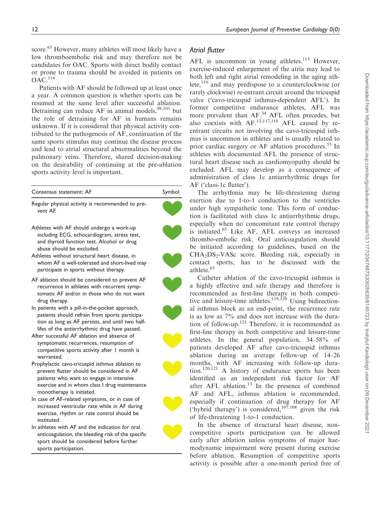score.<sup>65</sup> However, many athletes will most likely have a low thromboembolic risk and may therefore not be candidates for OAC. Sports with direct bodily contact or prone to trauma should be avoided in patients on  $OAC.<sup>114</sup>$ 

Patients with AF should be followed up at least once a year. A common question is whether sports can be resumed at the same level after successful ablation. Detraining can reduce AF in animal models,  $98,101$  but the role of detraining for AF in humans remains unknown. If it is considered that physical activity contributed to the pathogenesis of AF, continuation of the same sports stimulus may continue the disease process and lead to atrial structural abnormalities beyond the pulmonary veins. Therefore, shared decision-making on the desirability of continuing at the pre-ablation sports activity level is important.

| Consensus statement: AF                                                                                                                                                                                                 | Symbol |
|-------------------------------------------------------------------------------------------------------------------------------------------------------------------------------------------------------------------------|--------|
| Regular physical activity is recommended to pre-<br>vent AF.                                                                                                                                                            |        |
| Athletes with AF should undergo a work-up<br>including ECG, echocardiogram, stress test,<br>and thyroid function test. Alcohol or drug<br>abuse should be excluded.                                                     |        |
| Athletes without structural heart disease, in<br>whom AF is well-tolerated and short-lived may<br>participate in sports without therapy.                                                                                |        |
| AF ablation should be considered to prevent AF<br>recurrence in athletes with recurrent symp-<br>tomatic AF and/or in those who do not want<br>drug therapy.                                                            |        |
| In patients with a pill-in-the-pocket approach,<br>patients should refrain from sports participa-<br>tion as long as AF persists, and until two half-<br>lifes of the antiarrhythmic drug have passed.                  |        |
| After successful AF ablation and absence of<br>symptomatic recurrences, resumption of<br>competitive sports activity after I month is<br>warranted.                                                                     |        |
| Prophylactic cavo-tricuspid isthmus ablation to<br>prevent flutter should be considered in AF<br>patients who want to engage in intensive<br>exercise and in whom class I drug maintenance<br>monotherapy is initiated. |        |
| In case of AF-related symptoms, or in case of<br>increased ventricular rate while in AF during<br>exercise, rhythm or rate control should be<br>instituted.                                                             |        |
| In athletes with AF and the indication for oral<br>anticoagulation, the bleeding risk of the specific<br>sport should be considered before further<br>sports participation.                                             |        |

# Atrial flutter

AFL is uncommon in young athletes.<sup>115</sup> However, exercise-induced enlargement of the atria may lead to both left and right atrial remodeling in the aging athlete,  $^{116}$  and may predispose to a counterclockwise (or rarely clockwise) re-entrant circuit around the tricuspid valve ('cavo-tricuspid isthmus-dependent AFL'). In former competitive endurance athletes, AFL was more prevalent than AF.<sup>34</sup> AFL often precedes, but also coexists with  $AF$ <sup>13,117,118</sup> AFL caused by reentrant circuits not involving the cavo-tricuspid isthmus is uncommon in athletes and is usually related to prior cardiac surgery or AF ablation procedures.<sup>55</sup> In athletes with documented AFL the presence of structural heart disease such as cardiomyopathy should be excluded. AFL may develop as a consequence of administration of class 1c antiarrhythmic drugs for AF ('class-1c flutter').

The arrhythmia may be life-threatening during exertion due to 1-to-1 conduction to the ventricles under high sympathetic tone. This form of conduction is facilitated with class 1c antiarrhythmic drugs, especially when no concomitant rate control therapy is initiated.<sup>65</sup> Like AF, AFL conveys an increased thrombo-embolic risk. Oral anticoagulation should be initiated according to guidelines, based on the  $CHA<sub>2</sub>DS<sub>2</sub>-VASc$  score. Bleeding risk, especially in contact sports, has to be discussed with the athlete.<sup>65</sup>

Catheter ablation of the cavo-tricuspid isthmus is a highly effective and safe therapy and therefore is recommended as first-line therapy in both competitive and leisure-time athletes.<sup>119,120</sup> Using bidirectional isthmus block as an end-point, the recurrence rate is as low as 7% and does not increase with the duration of follow-up.<sup>121</sup> Therefore, it is recommended as first-line therapy in both competitive and leisure-time athletes. In the general population, 34–58% of patients developed AF after cavo-tricuspid isthmus ablation during an average follow-up of 14–26 months, with AF increasing with follow-up duration.120,121 A history of endurance sports has been identified as an independent risk factor for AF after AFL ablation. $13$  In the presence of combined AF and AFL, isthmus ablation is recommended, especially if continuation of drug therapy for AF ('hybrid therapy') is considered, $10^{7,108}$  given the risk of life-threatening 1-to-1 conduction.

In the absence of structural heart disease, noncompetitive sports participation can be allowed early after ablation unless symptoms of major haemodynamic impairment were present during exercise before ablation. Resumption of competitive sports activity is possible after a one-month period free of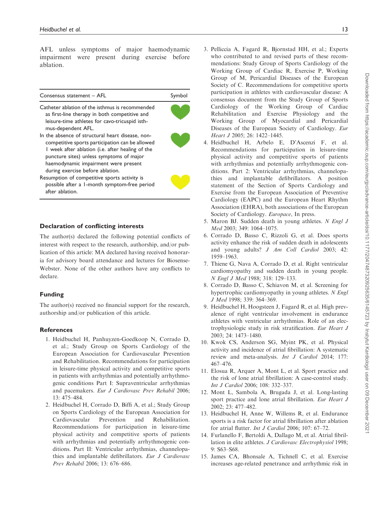AFL unless symptoms of major haemodynamic impairment were present during exercise before ablation.



#### Declaration of conflicting interests

The author(s) declared the following potential conflicts of interest with respect to the research, authorship, and/or publication of this article: MA declared having received honoraria for advisory board attendance and lectures for Biosense-Webster. None of the other authors have any conflicts to declare.

### Funding

The author(s) received no financial support for the research, authorship and/or publication of this article.

### **References**

- 1. Heidbuchel H, Panhuyzen-Goedkoop N, Corrado D, et al.; Study Group on Sports Cardiology of the European Association for Cardiovascular Prevention and Rehabilitation. Recommendations for participation in leisure-time physical activity and competitive sports in patients with arrhythmias and potentially arrhythmogenic conditions Part I: Supraventricular arrhythmias and pacemakers. Eur J Cardiovasc Prev Rehabil 2006; 13: 475–484.
- 2. Heidbuchel H, Corrado D, Biffi A, et al.; Study Group on Sports Cardiology of the European Association for Cardiovascular Prevention and Rehabilitation. Recommendations for participation in leisure-time physical activity and competitive sports of patients with arrhythmias and potentially arrhythmogenic conditions. Part II: Ventricular arrhythmias, channelopathies and implantable defibrillators. Eur J Cardiovasc Prev Rehabil 2006; 13: 676–686.
- 3. Pelliccia A, Fagard R, Bjornstad HH, et al.; Experts who contributed to and revised parts of these recommendations: Study Group of Sports Cardiology of the Working Group of Cardiac R, Exercise P, Working Group of M, Pericardial Diseases of the European Society of C. Recommendations for competitive sports participation in athletes with cardiovascular disease: A consensus document from the Study Group of Sports Cardiology of the Working Group of Cardiac Rehabilitation and Exercise Physiology and the Working Group of Myocardial and Pericardial Diseases of the European Society of Cardiology. Eur Heart J 2005; 26: 1422–1445.
- 4. Heidbuchel H, Arbelo E, D'Ascenzi F, et al. Recommendations for participation in leisure-time physical activity and competitive sports of patients with arrhythmias and potentially arrhythmogenic conditions. Part 2: Ventricular arrhythmias, channelopathies and implantable defibrillators. A position statement of the Section of Sports Cardiology and Exercise from the European Association of Preventive Cardiology (EAPC) and the European Heart Rhythm Association (EHRA), both associations of the European Society of Cardiology. *Europace*, In press.
- 5. Maron BJ. Sudden death in young athletes. N Engl J Med 2003; 349: 1064–1075.
- 6. Corrado D, Basso C, Rizzoli G, et al. Does sports activity enhance the risk of sudden death in adolescents and young adults? J Am Coll Cardiol 2003; 42: 1959–1963.
- 7. Thiene G, Nava A, Corrado D, et al. Right ventricular cardiomyopathy and sudden death in young people. N Engl J Med 1988; 318: 129–133.
- 8. Corrado D, Basso C, Schiavon M, et al. Screening for hypertrophic cardiomyopathy in young athletes. N Engl J Med 1998; 339: 364–369.
- 9. Heidbuchel H, Hoogsteen J, Fagard R, et al. High prevalence of right ventricular involvement in endurance athletes with ventricular arrhythmias. Role of an electrophysiologic study in risk stratification. Eur Heart J 2003; 24: 1473–1480.
- 10. Kwok CS, Anderson SG, Myint PK, et al. Physical activity and incidence of atrial fibrillation: A systematic review and meta-analysis. Int J Cardiol 2014; 177: 467–476.
- 11. Elosua R, Arquer A, Mont L, et al. Sport practice and the risk of lone atrial fibrillation: A case-control study. Int J Cardiol 2006; 108: 332–337.
- 12. Mont L, Sambola A, Brugada J, et al. Long-lasting sport practice and lone atrial fibrillation. Eur Heart J 2002; 23: 477–482.
- 13. Heidbuchel H, Anne W, Willems R, et al. Endurance sports is a risk factor for atrial fibrillation after ablation for atrial flutter. Int J Cardiol 2006; 107: 67–72.
- 14. Furlanello F, Bertoldi A, Dallago M, et al. Atrial fibrillation in elite athletes. J Cardiovasc Electrophysiol 1998; 9: S63–S68.
- 15. James CA, Bhonsale A, Tichnell C, et al. Exercise increases age-related penetrance and arrhythmic risk in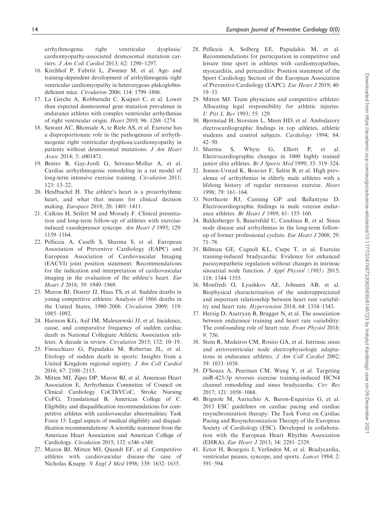arrhythmogenic right ventricular dysplasia/ cardiomyopathy-associated desmosomal mutation carriers. J Am Coll Cardiol 2013; 62: 1290–1297.

- 16. Kirchhof P, Fabritz L, Zwiener M, et al. Age- and training-dependent development of arrhythmogenic right ventricular cardiomyopathy in heterozygous plakoglobindeficient mice. Circulation 2006; 114: 1799–1806.
- 17. La Gerche A, Robberecht C, Kuiperi C, et al. Lower than expected desmosomal gene mutation prevalence in endurance athletes with complex ventricular arrhythmias of right ventricular origin. Heart 2010; 96: 1268–1274.
- 18. Sawant AC, Bhonsale A, te Riele AS, et al. Exercise has a disproportionate role in the pathogenesis of arrhythmogenic right ventricular dysplasia/cardiomyopathy in patients without desmosomal mutations. J Am Heart Assoc 2014; 3: e001471.
- 19. Benito B, Gay-Jordi G, Serrano-Mollar A, et al. Cardiac arrhythmogenic remodeling in a rat model of long-term intensive exercise training. *Circulation* 2011; 123: 13–22.
- 20. Heidbuchel H. The athlete's heart is a proarrhythmic heart, and what that means for clinical decision making. Europace 2018; 20: 1401–1411.
- 21. Calkins H, Seifert M and Morady F. Clinical presentation and long-term follow-up of athletes with exerciseinduced vasodepressor syncope. Am Heart J 1995; 129: 1159–1164.
- 22. Pelliccia A, Caselli S, Sharma S, et al. European Association of Preventive Cardiology (EAPC) and European Association of Cardiovascular Imaging (EACVI) joint position statement: Recommendations for the indication and interpretation of cardiovascular imaging in the evaluation of the athlete's heart. Eur Heart J 2018; 39: 1949–1969.
- 23. Maron BJ, Doerer JJ, Haas TS, et al. Sudden deaths in young competitive athletes: Analysis of 1866 deaths in the United States, 1980–2006. Circulation 2009; 119: 1085–1092.
- 24. Harmon KG, Asif IM, Maleszewski JJ, et al. Incidence, cause, and comparative frequency of sudden cardiac death in National Collegiate Athletic Association athletes: A decade in review. Circulation 2015; 132: 10–19.
- 25. Finocchiaro G, Papadakis M, Robertus JL, et al. Etiology of sudden death in sports: Insights from a United Kingdom regional registry. J Am Coll Cardiol 2016; 67: 2108–2115.
- 26. Mitten MJ, Zipes DP, Maron BJ, et al. American Heart Association E, Arrhythmias Committee of Council on Clinical Cardiology CoCDiYCoC, Stroke Nursing CoFG, Translational B, American College of C. Eligibility and disqualification recommendations for competitive athletes with cardiovascular abnormalities: Task Force 15: Legal aspects of medical eligibility and disqualification recommendations: A scientific statement from the American Heart Association and American College of Cardiology. Circulation 2015; 132: e346–e349.
- 27. Maron BJ, Mitten MJ, Quandt EF, et al. Competitive athletes with cardiovascular disease–the case of Nicholas Knapp. N Engl J Med 1998; 339: 1632–1635.
- 28. Pelliccia A, Solberg EE, Papadakis M, et al. Recommendations for participation in competitive and leisure time sport in athletes with cardiomyopathies, myocarditis, and pericarditis: Position statement of the Sport Cardiology Section of the European Association of Preventive Cardiology (EAPC). Eur Heart J 2019; 40: 19–33.
- 29. Mitten MJ. Team physicians and competitive athletes: Allocating legal responsibility for athletic injuries. U Pitt L Rev 1993; 55: 129.
- 30. Bjornstad H, Storstein L, Meen HD, et al. Ambulatory electrocardiographic findings in top athletes, athletic students and control subjects. Cardiology 1994; 84: 42–50.
- 31. Sharma S, Whyte G, Elliott P, et al. Electrocardiographic changes in 1000 highly trained junior elite athletes. Br J Sports Med 1999; 33: 319–324.
- 32. Jensen-Urstad K, Bouvier F, Saltin B, et al. High prevalence of arrhythmias in elderly male athletes with a lifelong history of regular strenuous exercise. Heart 1998; 79: 161–164.
- 33. Northcote RJ, Canning GP and Ballantyne D. Electrocardiographic findings in male veteran endurance athletes. Br Heart J 1989; 61: 155–160.
- 34. Baldesberger S, Bauersfeld U, Candinas R, et al. Sinus node disease and arrhythmias in the long-term followup of former professional cyclists. Eur Heart J 2008; 29: 71–78.
- 35. Billman GE, Cagnoli KL, Csepe T, et al. Exercise training-induced bradycardia: Evidence for enhanced parasympathetic regulation without changes in intrinsic sinoatrial node function. J Appl Physiol (1985) 2015; 118: 1344–1355.
- 36. Monfredi O, Lyashkov AE, Johnsen AB, et al. Biophysical characterization of the underappreciated and important relationship between heart rate variability and heart rate. Hypertension 2014; 64: 1334–1343.
- 37. Herzig D, Asatryan B, Brugger N, et al. The association between endurance training and heart rate variability: The confounding role of heart rate. Front Physiol 2018; 9: 756.
- 38. Stein R, Medeiros CM, Rosito GA, et al. Intrinsic sinus and atrioventricular node electrophysiologic adaptations in endurance athletes. J Am Coll Cardiol 2002; 39: 1033–1038.
- 39. D'Souza A, Pearman CM, Wang Y, et al. Targeting miR-423-5p reverses exercise training-induced HCN4 channel remodeling and sinus bradycardia. Circ Res 2017; 121: 1058–1068.
- 40. Brignole M, Auricchio A, Baron-Esquivias G, et al. 2013 ESC guidelines on cardiac pacing and cardiac resynchronization therapy: The Task Force on Cardiac Pacing and Resynchronization Therapy of the European Society of Cardiology (ESC). Developed in collaboration with the European Heart Rhythm Association (EHRA). Eur Heart J 2013; 34: 2281–2329.
- 41. Ector H, Bourgois J, Verlinden M, et al. Bradycardia, ventricular pauses, syncope, and sports. Lancet 1984; 2: 591–594.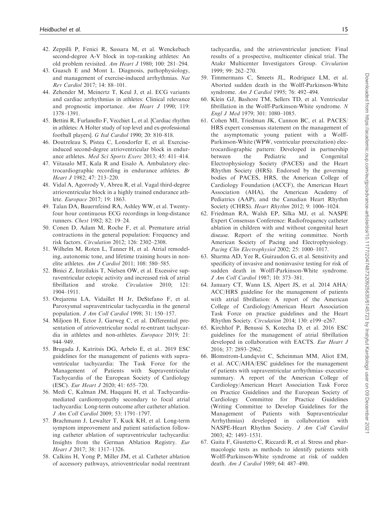- 42. Zeppilli P, Fenici R, Sassara M, et al. Wenckebach second-degree A-V block in top-ranking athletes: An old problem revisited. Am Heart J 1980; 100: 281–294.
- 43. Guasch E and Mont L. Diagnosis, pathophysiology, and management of exercise-induced arrhythmias. Nat Rev Cardiol 2017; 14: 88–101.
- 44. Zehender M, Meinertz T, Keul J, et al. ECG variants and cardiac arrhythmias in athletes: Clinical relevance and prognostic importance. Am Heart J 1990; 119: 1378–1391.
- 45. Bettini R, Furlanello F, Vecchiet L, et al. [Cardiac rhythm in athletes: A Holter study of top level and ex-professional football players]. G Ital Cardiol 1990; 20: 810–818.
- 46. Doutreleau S, Pistea C, Lonsdorfer E, et al. Exerciseinduced second-degree atrioventricular block in endurance athletes. Med Sci Sports Exerc 2013; 45: 411–414.
- 47. Viitasalo MT, Kala R and Eisalo A. Ambulatory electrocardiographic recording in endurance athletes. Br Heart J 1982; 47: 213–220.
- 48. Vidal A, Agorrody V, Abreu R, et al. Vagal third-degree atrioventricular block in a highly trained endurance athlete. Europace 2017; 19: 1863.
- 49. Talan DA, Bauernfeind RA, Ashley WW, et al. Twentyfour hour continuous ECG recordings in long-distance runners. Chest 1982; 82: 19–24.
- 50. Conen D, Adam M, Roche F, et al. Premature atrial contractions in the general population: Frequency and risk factors. Circulation 2012; 126: 2302–2308.
- 51. Wilhelm M, Roten L, Tanner H, et al. Atrial remodeling, autonomic tone, and lifetime training hours in nonelite athletes. Am J Cardiol 2011; 108: 580–585.
- 52. Binici Z, Intzilakis T, Nielsen OW, et al. Excessive supraventricular ectopic activity and increased risk of atrial fibrillation and stroke. *Circulation* 2010; 121: 1904–1911.
- 53. Orejarena LA, Vidaillet H Jr, DeStefano F, et al. Paroxysmal supraventricular tachycardia in the general population. J Am Coll Cardiol 1998; 31: 150–157.
- 54. Miljoen H, Ector J, Garweg C, et al. Differential presentation of atrioventricular nodal re-entrant tachycardia in athletes and non-athletes. Europace 2019; 21: 944–949.
- 55. Brugada J, Katritsis DG, Arbelo E, et al.. 2019 ESC guidelines for the management of patients with supraventricular tachycardia: The Task Force for the Management of Patients with Supraventricular Tachycardia of the European Society of Cardiology (ESC). Eur Heart J 2020; 41: 655–720.
- 56. Medi C, Kalman JM, Haqqani H, et al. Tachycardiamediated cardiomyopathy secondary to focal atrial tachycardia: Long-term outcome after catheter ablation. J Am Coll Cardiol 2009; 53: 1791–1797.
- 57. Brachmann J, Lewalter T, Kuck KH, et al. Long-term symptom improvement and patient satisfaction following catheter ablation of supraventricular tachycardia: Insights from the German Ablation Registry. Eur Heart J 2017; 38: 1317–1326.
- 58. Calkins H, Yong P, Miller JM, et al. Catheter ablation of accessory pathways, atrioventricular nodal reentrant

tachycardia, and the atrioventricular junction: Final results of a prospective, multicenter clinical trial. The Atakr Multicenter Investigators Group. Circulation 1999; 99: 262–270.

- 59. Timmermans C, Smeets JL, Rodriguez LM, et al. Aborted sudden death in the Wolff-Parkinson-White syndrome. Am J Cardiol 1995; 76: 492–494.
- 60. Klein GJ, Bashore TM, Sellers TD, et al. Ventricular fibrillation in the Wolff-Parkinson-White syndrome. N Engl J Med 1979; 301: 1080–1085.
- 61. Cohen MI, Triedman JK, Cannon BC, et al. PACES/ HRS expert consensus statement on the management of the asymptomatic young patient with a Wolff-Parkinson-White (WPW, ventricular preexcitation) electrocardiographic pattern: Developed in partnership between the Pediatric and Congenital Electrophysiology Society (PACES) and the Heart Rhythm Society (HRS). Endorsed by the governing bodies of PACES, HRS, the American College of Cardiology Foundation (ACCF), the American Heart Association (AHA), the American Academy of Pediatrics (AAP), and the Canadian Heart Rhythm Society (CHRS). Heart Rhythm 2012; 9: 1006–1024.
- 62. Friedman RA, Walsh EP, Silka MJ, et al. NASPE Expert Consensus Conference: Radiofrequency catheter ablation in children with and without congenital heart disease. Report of the writing committee. North American Society of Pacing and Electrophysiology. Pacing Clin Electrophysiol 2002; 25: 1000–1017.
- 63. Sharma AD, Yee R, Guiraudon G, et al. Sensitivity and specificity of invasive and noninvasive testing for risk of sudden death in Wolff-Parkinson-White syndrome. J Am Coll Cardiol 1987; 10: 373–381.
- 64. January CT, Wann LS, Alpert JS, et al. 2014 AHA/ ACC/HRS guideline for the management of patients with atrial fibrillation: A report of the American College of Cardiology/American Heart Association Task Force on practice guidelines and the Heart Rhythm Society. Circulation 2014; 130: e199–e267.
- 65. Kirchhof P, Benussi S, Kotecha D, et al. 2016 ESC guidelines for the management of atrial fibrillation developed in collaboration with EACTS. Eur Heart J 2016; 37: 2893–2962.
- 66. Blomstrom-Lundqvist C, Scheinman MM, Aliot EM, et al. ACC/AHA/ESC guidelines for the management of patients with supraventricular arrhythmias–executive summary. A report of the American College of Cardiology/American Heart Association Task Force on Practice Guidelines and the European Society of Cardiology Committee for Practice Guidelines (Writing Committee to Develop Guidelines for the Management of Patients with Supraventricular Arrhythmias) developed in collaboration with NASPE-Heart Rhythm Society. J Am Coll Cardiol 2003; 42: 1493–1531.
- 67. Gaita F, Giustetto C, Riccardi R, et al. Stress and pharmacologic tests as methods to identify patients with Wolff-Parkinson-White syndrome at risk of sudden death. Am J Cardiol 1989; 64: 487–490.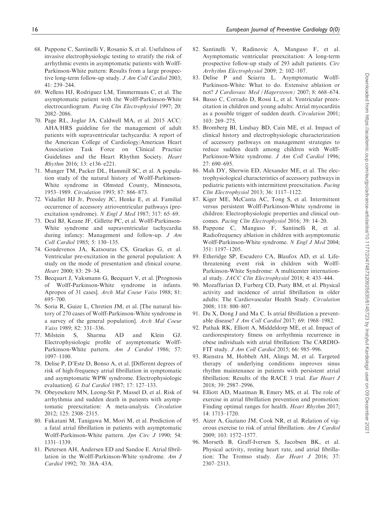- 68. Pappone C, Santinelli V, Rosanio S, et al. Usefulness of invasive electrophysiologic testing to stratify the risk of arrhythmic events in asymptomatic patients with Wolff-Parkinson-White pattern: Results from a large prospective long-term follow-up study. J Am Coll Cardiol 2003; 41: 239–244.
- 69. Wellens HJ, Rodriguez LM, Timmermans C, et al. The asymptomatic patient with the Wolff-Parkinson-White electrocardiogram. Pacing Clin Electrophysiol 1997; 20: 2082–2086.
- 70. Page RL, Joglar JA, Caldwell MA, et al. 2015 ACC/ AHA/HRS guideline for the management of adult patients with supraventricular tachycardia: A report of the American College of Cardiology/American Heart Association Task Force on Clinical Practice Guidelines and the Heart Rhythm Society. Heart Rhythm 2016; 13: e136–e221.
- 71. Munger TM, Packer DL, Hammill SC, et al. A population study of the natural history of Wolff-Parkinson-White syndrome in Olmsted County, Minnesota, 1953–1989. Circulation 1993; 87: 866–873.
- 72. Vidaillet HJ Jr, Pressley JC, Henke E, et al. Familial occurrence of accessory atrioventricular pathways (preexcitation syndrome). N Engl J Med 1987; 317: 65–69.
- 73. Deal BJ, Keane JF, Gillette PC, et al. Wolff-Parkinson-White syndrome and supraventricular tachycardia during infancy: Management and follow-up. J Am Coll Cardiol 1985; 5: 130–135.
- 74. Goudevenos JA, Katsouras CS, Graekas G, et al. Ventricular pre-excitation in the general population: A study on the mode of presentation and clinical course. Heart 2000; 83: 29–34.
- 75. Becquart J, Vaksmann G, Becquart V, et al. [Prognosis of Wolff-Parkinson-White syndrome in infants. Apropos of 31 cases]. Arch Mal Coeur Vaiss 1988; 81: 695–700.
- 76. Soria R, Guize L, Chretien JM, et al. [The natural history of 270 cases of Wolff-Parkinson-White syndrome in a survey of the general population]. Arch Mal Coeur Vaiss 1989; 82: 331–336.
- 77. Milstein S, Sharma AD and Klein GJ. Electrophysiologic profile of asymptomatic Wolff-Parkinson-White pattern. Am J Cardiol 1986; 57: 1097–1100.
- 78. Delise P, D'Este D, Bonso A, et al. [Different degrees of risk of high-frequency atrial fibrillation in symptomatic and asymptomatic WPW syndrome. Electrophysiologic evaluation]. G Ital Cardiol 1987; 17: 127–133.
- 79. Obeyesekere MN, Leong-Sit P, Massel D, et al. Risk of arrhythmia and sudden death in patients with asymptomatic preexcitation: A meta-analysis. Circulation 2012; 125: 2308–2315.
- 80. Fukatani M, Tanigawa M, Mori M, et al. Prediction of a fatal atrial fibrillation in patients with asymptomatic Wolff-Parkinson-White pattern. Jpn Circ J 1990; 54: 1331–1339.
- 81. Pietersen AH, Andersen ED and Sandoe E. Atrial fibrillation in the Wolff-Parkinson-White syndrome. Am J Cardiol 1992; 70: 38A–43A.
- 82. Santinelli V, Radinovic A, Manguso F, et al. Asymptomatic ventricular preexcitation: A long-term prospective follow-up study of 293 adult patients. Circ Arrhythm Electrophysiol 2009; 2: 102–107.
- 83. Delise P and Sciarra L. Asymptomatic Wolff-Parkinson-White: What to do. Extensive ablation or not? J Cardiovasc Med (Hagerstown) 2007; 8: 668–674.
- 84. Basso C, Corrado D, Rossi L, et al. Ventricular preexcitation in children and young adults: Atrial myocarditis as a possible trigger of sudden death. Circulation 2001; 103: 269–275.
- 85. Bromberg BI, Lindsay BD, Cain ME, et al. Impact of clinical history and electrophysiologic characterization of accessory pathways on management strategies to reduce sudden death among children with Wolff-Parkinson-White syndrome. J Am Coll Cardiol 1996; 27: 690–695.
- 86. Mah DY, Sherwin ED, Alexander ME, et al. The electrophysiological characteristics of accessory pathways in pediatric patients with intermittent preexcitation. Pacing Clin Electrophysiol 2013; 36: 1117–1122.
- 87. Kiger ME, McCanta AC, Tong S, et al. Intermittent versus persistent Wolff-Parkinson-White syndrome in children: Electrophysiologic properties and clinical outcomes. Pacing Clin Electrophysiol 2016; 39: 14–20.
- 88. Pappone C, Manguso F, Santinelli R, et al. Radiofrequency ablation in children with asymptomatic Wolff-Parkinson-White syndrome. N Engl J Med 2004; 351: 1197–1205.
- 89. Etheridge SP, Escudero CA, Blaufox AD, et al. Lifethreatening event risk in children with Wolff-Parkinson-White Syndrome: A multicenter international study. JACC Clin Electrophysiol 2018; 4: 433–444.
- 90. Mozaffarian D, Furberg CD, Psaty BM, et al. Physical activity and incidence of atrial fibrillation in older adults: The Cardiovascular Health Study. Circulation 2008; 118: 800–807.
- 91. Du X, Dong J and Ma C. Is atrial fibrillation a preventable disease? J Am Coll Cardiol 2017; 69: 1968–1982.
- 92. Pathak RK, Elliott A, Middeldorp ME, et al. Impact of cardiorespiratory fitness on arrhythmia recurrence in obese individuals with atrial fibrillation: The CARDIO-FIT study. J Am Coll Cardiol 2015; 66: 985–996.
- 93. Rienstra M, Hobbelt AH, Alings M, et al. Targeted therapy of underlying conditions improves sinus rhythm maintenance in patients with persistent atrial fibrillation: Results of the RACE 3 trial. Eur Heart J 2018; 39: 2987–2996.
- 94. Elliott AD, Maatman B, Emery MS, et al. The role of exercise in atrial fibrillation prevention and promotion: Finding optimal ranges for health. Heart Rhythm 2017; 14: 1713–1720.
- 95. Aizer A, Gaziano JM, Cook NR, et al. Relation of vigorous exercise to risk of atrial fibrillation. Am J Cardiol 2009; 103: 1572–1577.
- 96. Morseth B, Graff-Iversen S, Jacobsen BK, et al. Physical activity, resting heart rate, and atrial fibrillation: The Tromso study. Eur Heart J 2016; 37: 2307–2313.